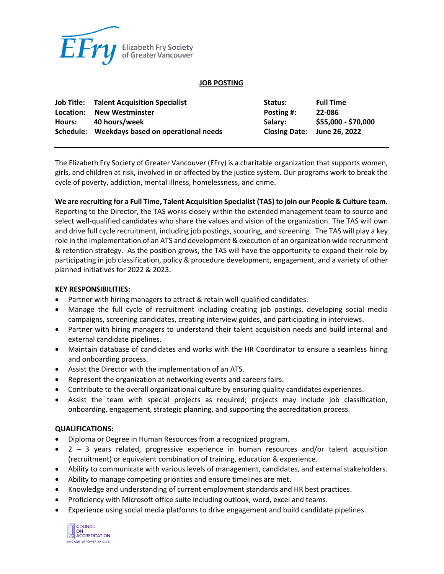

## **JOB POSTING**

|        | <b>Job Title: Talent Acquisition Specialist</b> | Status:                     | <b>Full Time</b>    |
|--------|-------------------------------------------------|-----------------------------|---------------------|
|        | Location: New Westminster                       | <b>Posting #:</b>           | 22-086              |
| Hours: | 40 hours/week                                   | Salarv:                     | \$55,000 - \$70,000 |
|        | Schedule: Weekdays based on operational needs   | Closing Date: June 26, 2022 |                     |

The Elizabeth Fry Society of Greater Vancouver (EFry) is a charitable organization that supports women, girls, and children at risk, involved in or affected by the justice system. Our programs work to break the cycle of poverty, addiction, mental illness, homelessness, and crime.

## **We are recruiting for a Full Time, Talent Acquisition Specialist (TAS) to join our People & Culture team.**

Reporting to the Director, the TAS works closely within the extended management team to source and select well-qualified candidates who share the values and vision of the organization. The TAS will own and drive full cycle recruitment, including job postings, scouring, and screening. The TAS will play a key role in the implementation of an ATS and development & execution of an organization wide recruitment & retention strategy. As the position grows, the TAS will have the opportunity to expand their role by participating in job classification, policy & procedure development, engagement, and a variety of other planned initiatives for 2022 & 2023.

## **KEY RESPONSIBILITIES:**

- Partner with hiring managers to attract & retain well-qualified candidates.
- Manage the full cycle of recruitment including creating job postings, developing social media campaigns, screening candidates, creating interview guides, and participating in interviews.
- Partner with hiring managers to understand their talent acquisition needs and build internal and external candidate pipelines.
- Maintain database of candidates and works with the HR Coordinator to ensure a seamless hiring and onboarding process.
- Assist the Director with the implementation of an ATS.
- Represent the organization at networking events and careers fairs.
- Contribute to the overall organizational culture by ensuring quality candidates experiences.
- Assist the team with special projects as required; projects may include job classification, onboarding, engagement, strategic planning, and supporting the accreditation process.

#### **QUALIFICATIONS:**

- Diploma or Degree in Human Resources from a recognized program.
- $\bullet$  2 3 years related, progressive experience in human resources and/or talent acquisition (recruitment) or equivalent combination of training, education & experience.
- Ability to communicate with various levels of management, candidates, and external stakeholders.
- Ability to manage competing priorities and ensure timelines are met.
- Knowledge and understanding of current employment standards and HR best practices.
- Proficiency with Microsoft office suite including outlook, word, excel and teams.
- Experience using social media platforms to drive engagement and build candidate pipelines.